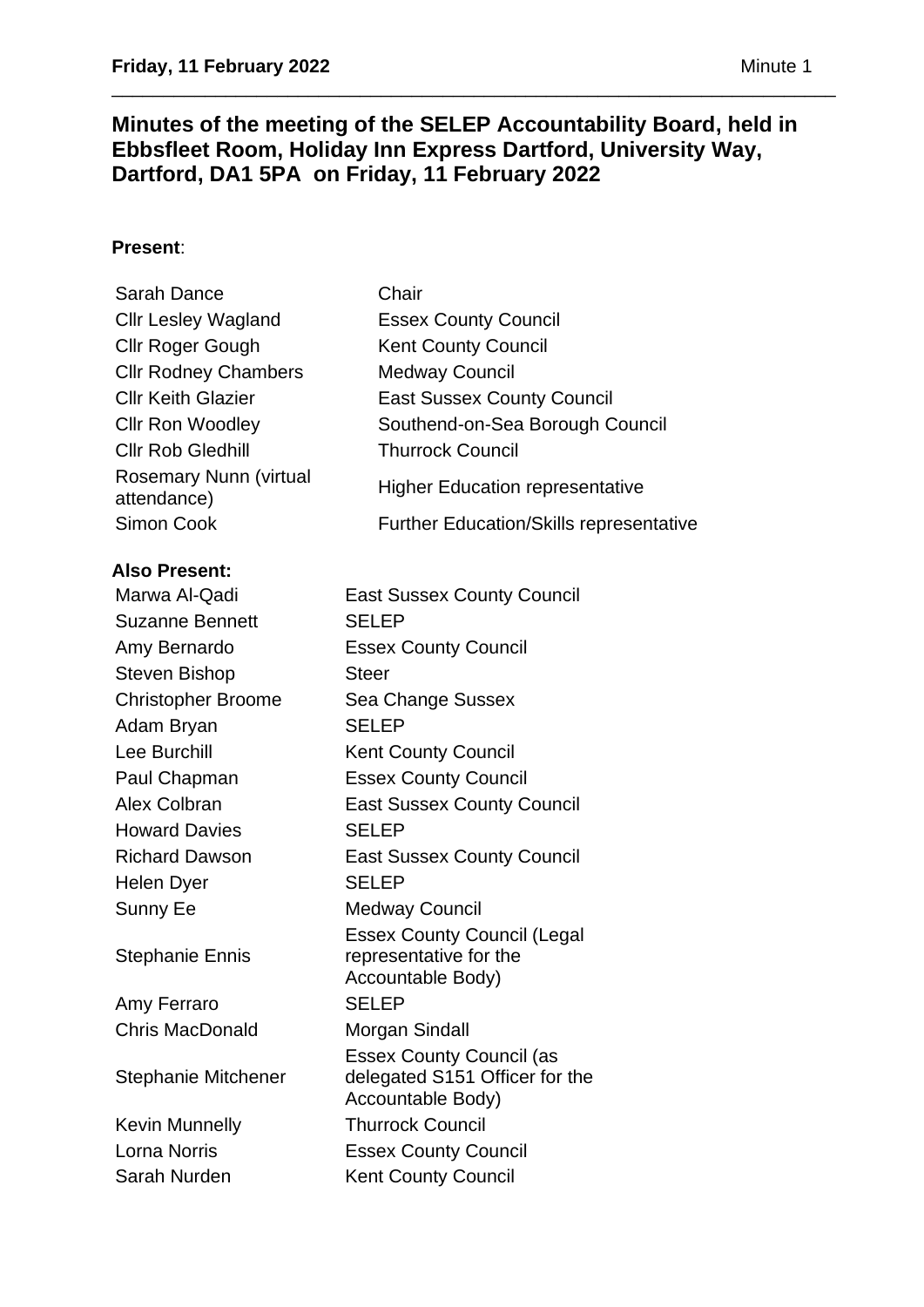# **Minutes of the meeting of the SELEP Accountability Board, held in Ebbsfleet Room, Holiday Inn Express Dartford, University Way, Dartford, DA1 5PA on Friday, 11 February 2022**

\_\_\_\_\_\_\_\_\_\_\_\_\_\_\_\_\_\_\_\_\_\_\_\_\_\_\_\_\_\_\_\_\_\_\_\_\_\_\_\_\_\_\_\_\_\_\_\_\_\_\_\_\_\_\_\_\_\_\_\_\_\_\_\_\_\_\_\_\_\_

# **Present**:

| Sarah Dance                                  | Chair                                          |
|----------------------------------------------|------------------------------------------------|
| <b>Cllr Lesley Wagland</b>                   | <b>Essex County Council</b>                    |
| Cllr Roger Gough                             | <b>Kent County Council</b>                     |
| <b>Cllr Rodney Chambers</b>                  | <b>Medway Council</b>                          |
| <b>Cllr Keith Glazier</b>                    | <b>East Sussex County Council</b>              |
| <b>Cllr Ron Woodley</b>                      | Southend-on-Sea Borough Council                |
| <b>Cllr Rob Gledhill</b>                     | <b>Thurrock Council</b>                        |
| <b>Rosemary Nunn (virtual</b><br>attendance) | <b>Higher Education representative</b>         |
| Simon Cook                                   | <b>Further Education/Skills representative</b> |
|                                              |                                                |

### **Also Present:**

Marwa Al-Qadi East Sussex County Council Suzanne Bennett SELEP Amy Bernardo Essex County Council Steven Bishop Steer Christopher Broome Sea Change Sussex Adam Brvan SELEP Lee Burchill Kent County Council Paul Chapman **Essex County Council** Alex Colbran East Sussex County Council Howard Davies SELEP Richard Dawson East Sussex County Council Helen Dyer SELEP Sunny Ee Medway Council Stephanie Ennis Essex County Council (Legal representative for the Accountable Body) Amy Ferraro SELEP Chris MacDonald Morgan Sindall Stephanie Mitchener Essex County Council (as delegated S151 Officer for the Accountable Body) Kevin Munnelly **Thurrock Council** Lorna Norris Essex County Council Sarah Nurden Kent County Council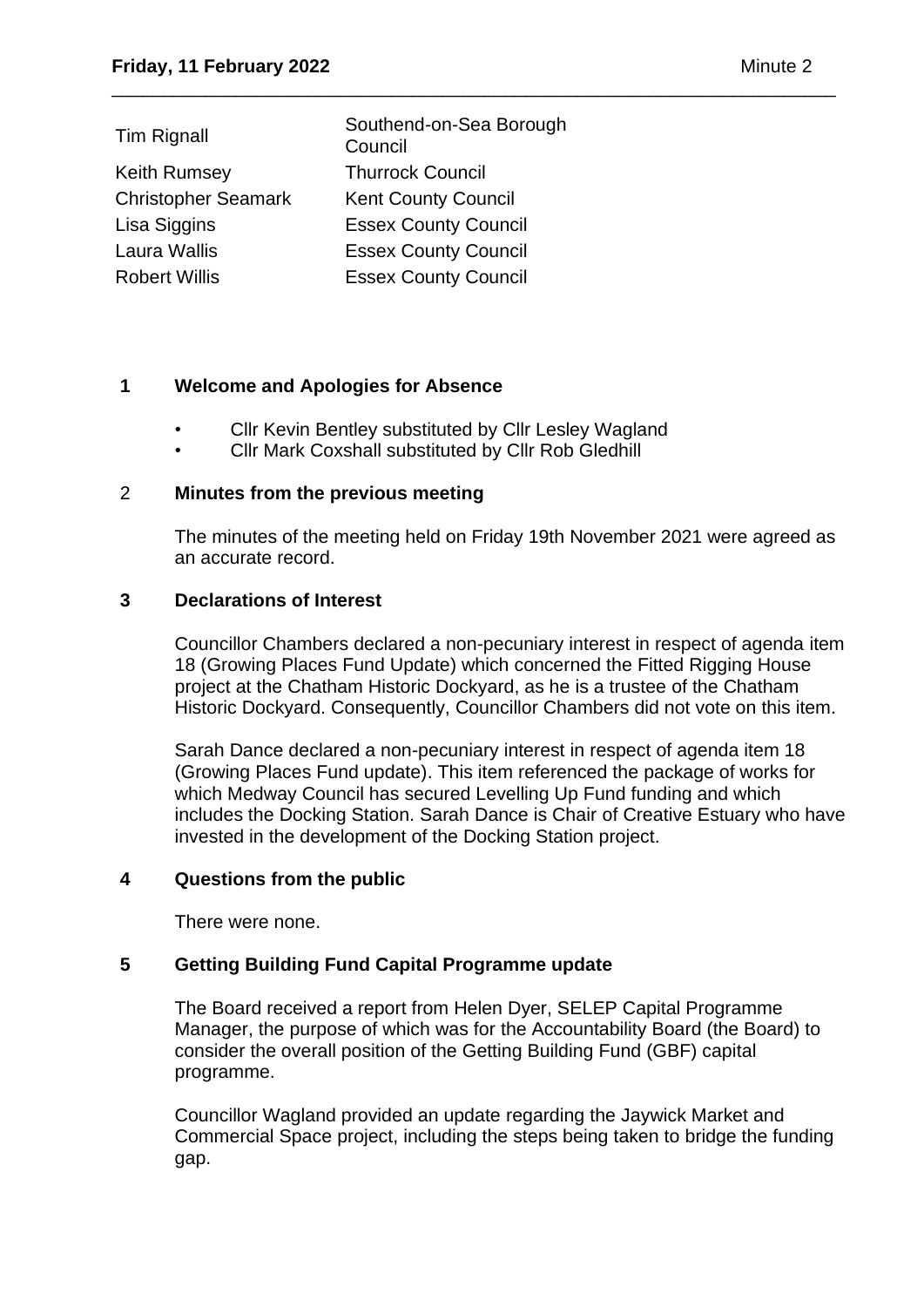| <b>Tim Rignall</b>         | Southend-on-Sea Borough<br>Council |
|----------------------------|------------------------------------|
| Keith Rumsey               | <b>Thurrock Council</b>            |
| <b>Christopher Seamark</b> | <b>Kent County Council</b>         |
| Lisa Siggins               | <b>Essex County Council</b>        |
| Laura Wallis               | <b>Essex County Council</b>        |
| <b>Robert Willis</b>       | <b>Essex County Council</b>        |

### **1 Welcome and Apologies for Absence**

• Cllr Kevin Bentley substituted by Cllr Lesley Wagland

\_\_\_\_\_\_\_\_\_\_\_\_\_\_\_\_\_\_\_\_\_\_\_\_\_\_\_\_\_\_\_\_\_\_\_\_\_\_\_\_\_\_\_\_\_\_\_\_\_\_\_\_\_\_\_\_\_\_\_\_\_\_\_\_\_\_\_\_\_\_

• Cllr Mark Coxshall substituted by Cllr Rob Gledhill

#### 2 **Minutes from the previous meeting**

The minutes of the meeting held on Friday 19th November 2021 were agreed as an accurate record.

#### **3 Declarations of Interest**

Councillor Chambers declared a non-pecuniary interest in respect of agenda item 18 (Growing Places Fund Update) which concerned the Fitted Rigging House project at the Chatham Historic Dockyard, as he is a trustee of the Chatham Historic Dockyard. Consequently, Councillor Chambers did not vote on this item.

Sarah Dance declared a non-pecuniary interest in respect of agenda item 18 (Growing Places Fund update). This item referenced the package of works for which Medway Council has secured Levelling Up Fund funding and which includes the Docking Station. Sarah Dance is Chair of Creative Estuary who have invested in the development of the Docking Station project.

#### **4 Questions from the public**

There were none.

### **5 Getting Building Fund Capital Programme update**

The Board received a report from Helen Dyer, SELEP Capital Programme Manager, the purpose of which was for the Accountability Board (the Board) to consider the overall position of the Getting Building Fund (GBF) capital programme.

Councillor Wagland provided an update regarding the Jaywick Market and Commercial Space project, including the steps being taken to bridge the funding gap.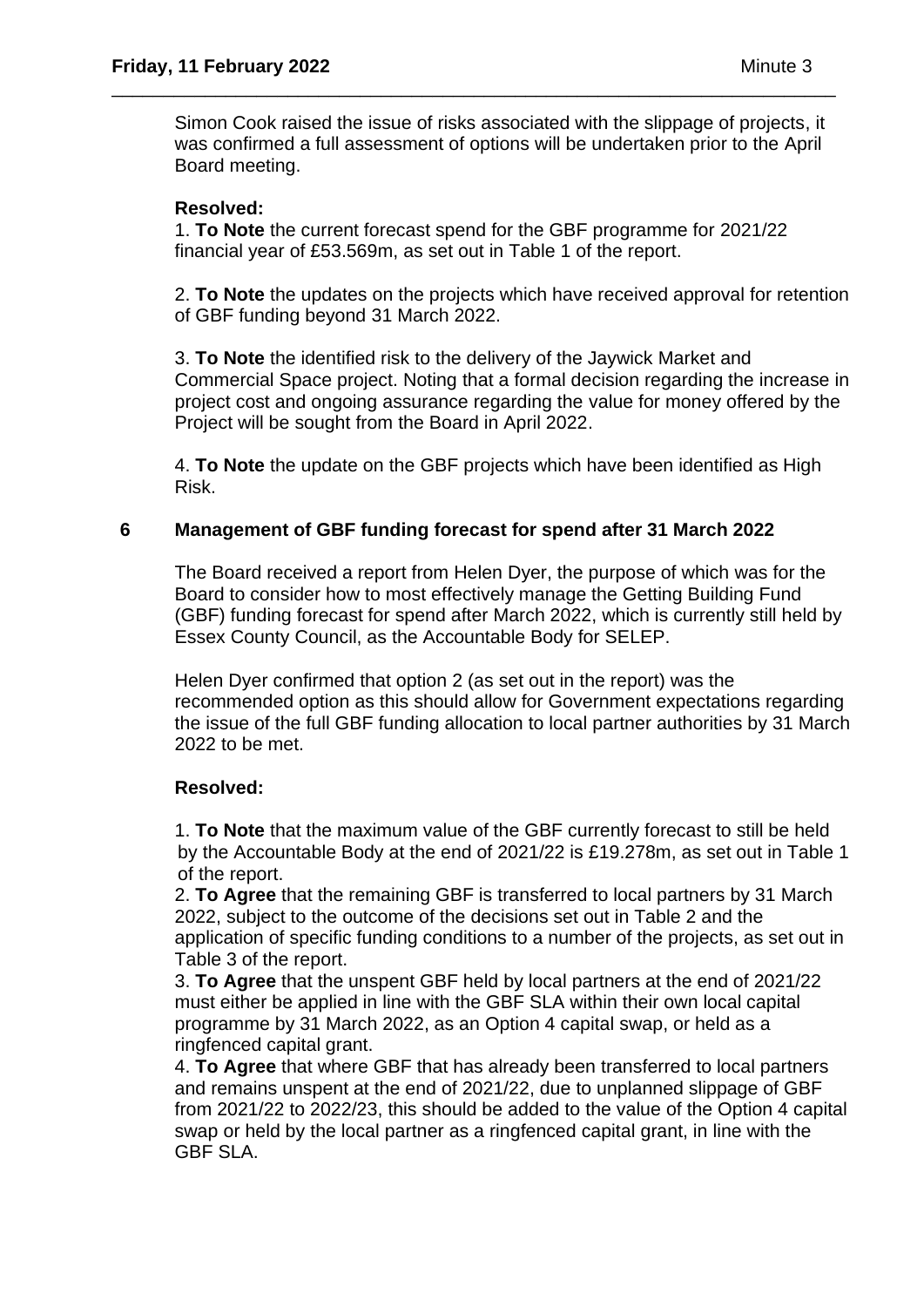Simon Cook raised the issue of risks associated with the slippage of projects, it was confirmed a full assessment of options will be undertaken prior to the April Board meeting.

\_\_\_\_\_\_\_\_\_\_\_\_\_\_\_\_\_\_\_\_\_\_\_\_\_\_\_\_\_\_\_\_\_\_\_\_\_\_\_\_\_\_\_\_\_\_\_\_\_\_\_\_\_\_\_\_\_\_\_\_\_\_\_\_\_\_\_\_\_\_

### **Resolved:**

1. **To Note** the current forecast spend for the GBF programme for 2021/22 financial year of £53.569m, as set out in Table 1 of the report.

2. **To Note** the updates on the projects which have received approval for retention of GBF funding beyond 31 March 2022.

3. **To Note** the identified risk to the delivery of the Jaywick Market and Commercial Space project. Noting that a formal decision regarding the increase in project cost and ongoing assurance regarding the value for money offered by the Project will be sought from the Board in April 2022.

4. **To Note** the update on the GBF projects which have been identified as High Risk.

### **6 Management of GBF funding forecast for spend after 31 March 2022**

The Board received a report from Helen Dyer, the purpose of which was for the Board to consider how to most effectively manage the Getting Building Fund (GBF) funding forecast for spend after March 2022, which is currently still held by Essex County Council, as the Accountable Body for SELEP.

Helen Dyer confirmed that option 2 (as set out in the report) was the recommended option as this should allow for Government expectations regarding the issue of the full GBF funding allocation to local partner authorities by 31 March 2022 to be met.

### **Resolved:**

1. **To Note** that the maximum value of the GBF currently forecast to still be held by the Accountable Body at the end of 2021/22 is £19.278m, as set out in Table 1 of the report.

2. **To Agree** that the remaining GBF is transferred to local partners by 31 March 2022, subject to the outcome of the decisions set out in Table 2 and the application of specific funding conditions to a number of the projects, as set out in Table 3 of the report.

3. **To Agree** that the unspent GBF held by local partners at the end of 2021/22 must either be applied in line with the GBF SLA within their own local capital programme by 31 March 2022, as an Option 4 capital swap, or held as a ringfenced capital grant.

4. **To Agree** that where GBF that has already been transferred to local partners and remains unspent at the end of 2021/22, due to unplanned slippage of GBF from 2021/22 to 2022/23, this should be added to the value of the Option 4 capital swap or held by the local partner as a ringfenced capital grant, in line with the GBF SLA.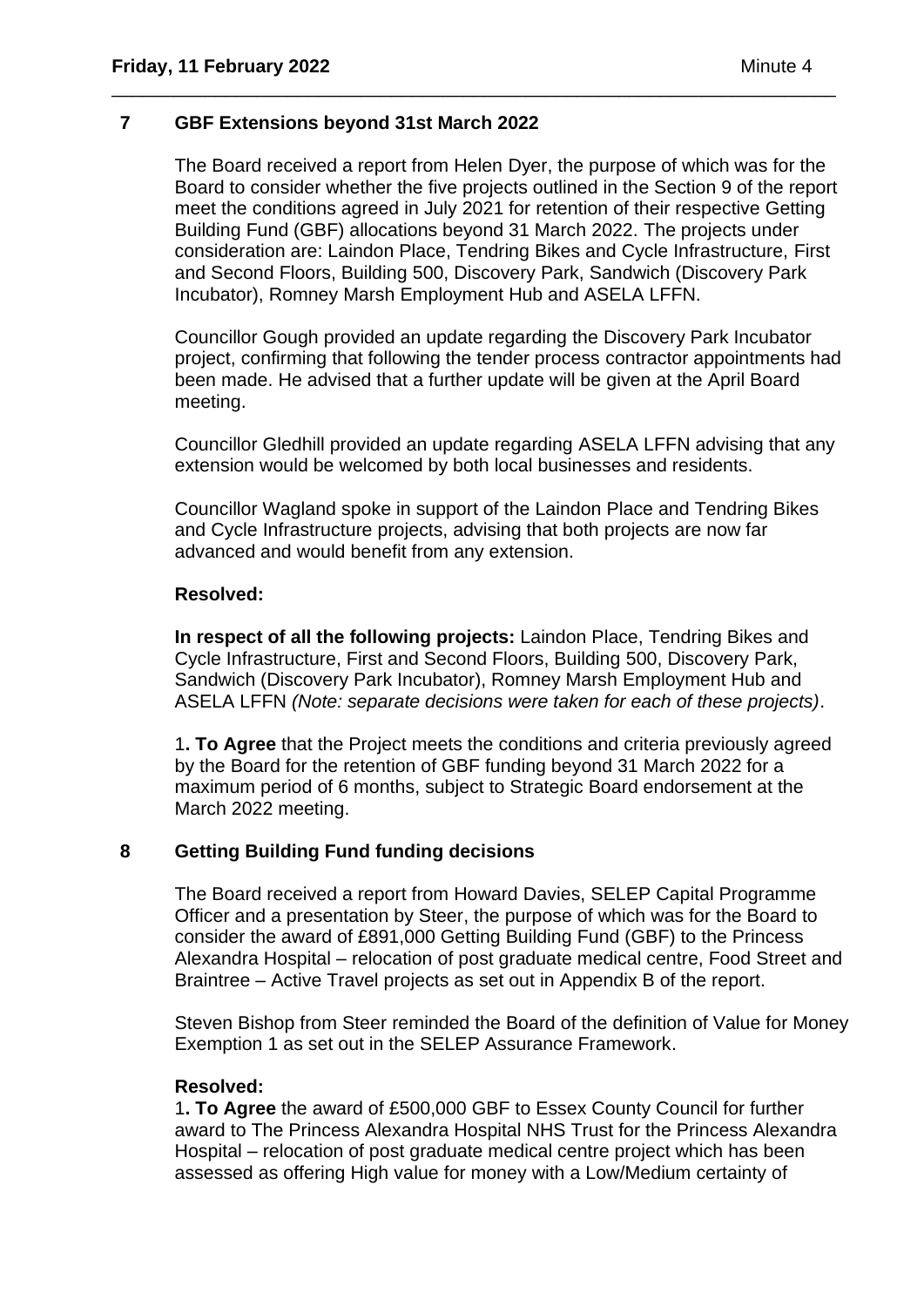### **7 GBF Extensions beyond 31st March 2022**

The Board received a report from Helen Dyer, the purpose of which was for the Board to consider whether the five projects outlined in the Section 9 of the report meet the conditions agreed in July 2021 for retention of their respective Getting Building Fund (GBF) allocations beyond 31 March 2022. The projects under consideration are: Laindon Place, Tendring Bikes and Cycle Infrastructure, First and Second Floors, Building 500, Discovery Park, Sandwich (Discovery Park Incubator), Romney Marsh Employment Hub and ASELA LFFN.

\_\_\_\_\_\_\_\_\_\_\_\_\_\_\_\_\_\_\_\_\_\_\_\_\_\_\_\_\_\_\_\_\_\_\_\_\_\_\_\_\_\_\_\_\_\_\_\_\_\_\_\_\_\_\_\_\_\_\_\_\_\_\_\_\_\_\_\_\_\_

Councillor Gough provided an update regarding the Discovery Park Incubator project, confirming that following the tender process contractor appointments had been made. He advised that a further update will be given at the April Board meeting.

Councillor Gledhill provided an update regarding ASELA LFFN advising that any extension would be welcomed by both local businesses and residents.

Councillor Wagland spoke in support of the Laindon Place and Tendring Bikes and Cycle Infrastructure projects, advising that both projects are now far advanced and would benefit from any extension.

### **Resolved:**

**In respect of all the following projects:** Laindon Place, Tendring Bikes and Cycle Infrastructure, First and Second Floors, Building 500, Discovery Park, Sandwich (Discovery Park Incubator), Romney Marsh Employment Hub and ASELA LFFN *(Note: separate decisions were taken for each of these projects)*.

1**. To Agree** that the Project meets the conditions and criteria previously agreed by the Board for the retention of GBF funding beyond 31 March 2022 for a maximum period of 6 months, subject to Strategic Board endorsement at the March 2022 meeting.

### **8 Getting Building Fund funding decisions**

The Board received a report from Howard Davies, SELEP Capital Programme Officer and a presentation by Steer, the purpose of which was for the Board to consider the award of £891,000 Getting Building Fund (GBF) to the Princess Alexandra Hospital – relocation of post graduate medical centre, Food Street and Braintree – Active Travel projects as set out in Appendix B of the report.

Steven Bishop from Steer reminded the Board of the definition of Value for Money Exemption 1 as set out in the SELEP Assurance Framework.

### **Resolved:**

1**. To Agree** the award of £500,000 GBF to Essex County Council for further award to The Princess Alexandra Hospital NHS Trust for the Princess Alexandra Hospital – relocation of post graduate medical centre project which has been assessed as offering High value for money with a Low/Medium certainty of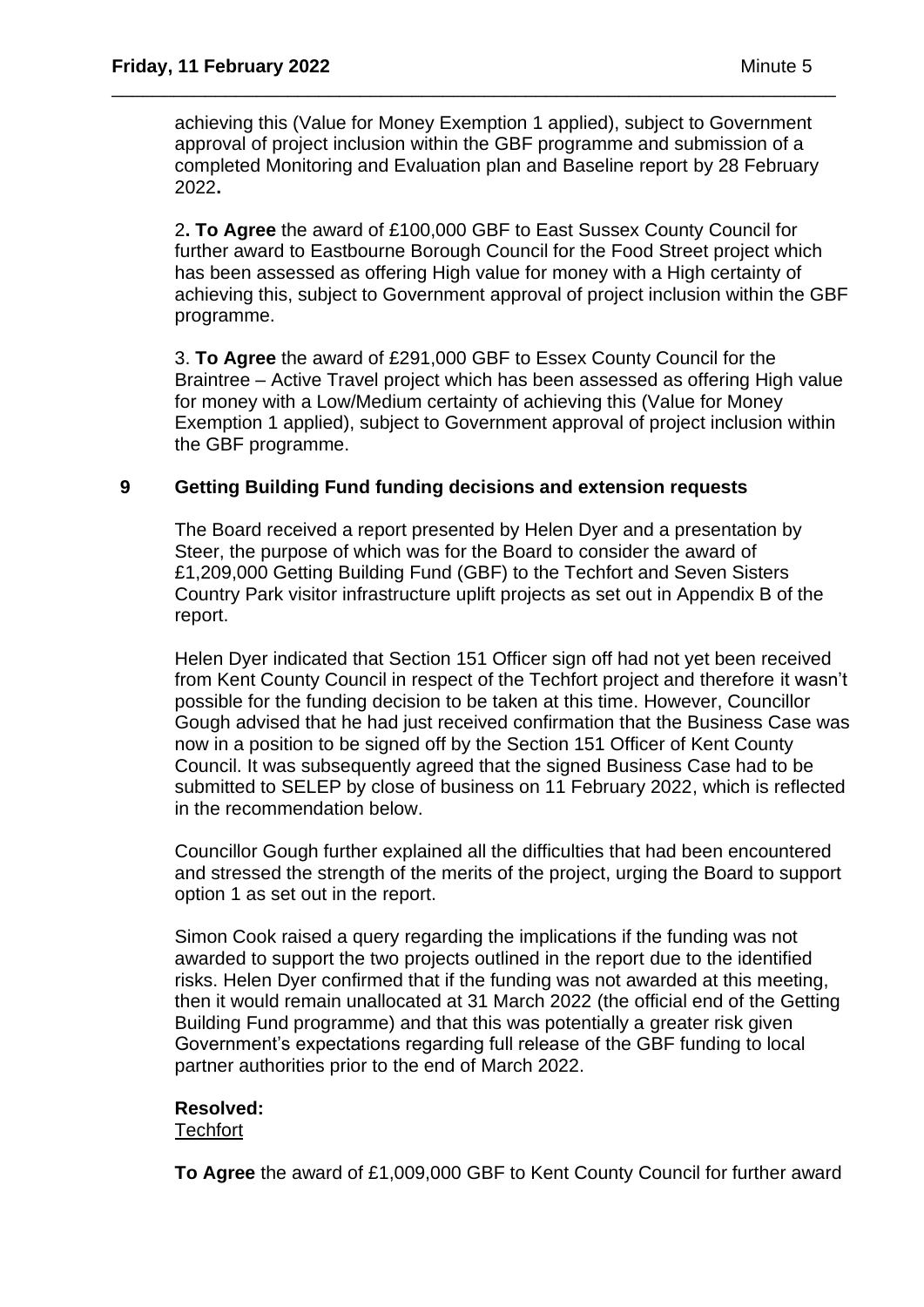achieving this (Value for Money Exemption 1 applied), subject to Government approval of project inclusion within the GBF programme and submission of a completed Monitoring and Evaluation plan and Baseline report by 28 February 2022**.** 

\_\_\_\_\_\_\_\_\_\_\_\_\_\_\_\_\_\_\_\_\_\_\_\_\_\_\_\_\_\_\_\_\_\_\_\_\_\_\_\_\_\_\_\_\_\_\_\_\_\_\_\_\_\_\_\_\_\_\_\_\_\_\_\_\_\_\_\_\_\_

2**. To Agree** the award of £100,000 GBF to East Sussex County Council for further award to Eastbourne Borough Council for the Food Street project which has been assessed as offering High value for money with a High certainty of achieving this, subject to Government approval of project inclusion within the GBF programme.

3. **To Agree** the award of £291,000 GBF to Essex County Council for the Braintree – Active Travel project which has been assessed as offering High value for money with a Low/Medium certainty of achieving this (Value for Money Exemption 1 applied), subject to Government approval of project inclusion within the GBF programme.

# **9 Getting Building Fund funding decisions and extension requests**

The Board received a report presented by Helen Dyer and a presentation by Steer, the purpose of which was for the Board to consider the award of £1,209,000 Getting Building Fund (GBF) to the Techfort and Seven Sisters Country Park visitor infrastructure uplift projects as set out in Appendix B of the report.

Helen Dyer indicated that Section 151 Officer sign off had not yet been received from Kent County Council in respect of the Techfort project and therefore it wasn't possible for the funding decision to be taken at this time. However, Councillor Gough advised that he had just received confirmation that the Business Case was now in a position to be signed off by the Section 151 Officer of Kent County Council. It was subsequently agreed that the signed Business Case had to be submitted to SELEP by close of business on 11 February 2022, which is reflected in the recommendation below.

Councillor Gough further explained all the difficulties that had been encountered and stressed the strength of the merits of the project, urging the Board to support option 1 as set out in the report.

Simon Cook raised a query regarding the implications if the funding was not awarded to support the two projects outlined in the report due to the identified risks. Helen Dyer confirmed that if the funding was not awarded at this meeting, then it would remain unallocated at 31 March 2022 (the official end of the Getting Building Fund programme) and that this was potentially a greater risk given Government's expectations regarding full release of the GBF funding to local partner authorities prior to the end of March 2022.

### **Resolved:**

**Techfort** 

**To Agree** the award of £1,009,000 GBF to Kent County Council for further award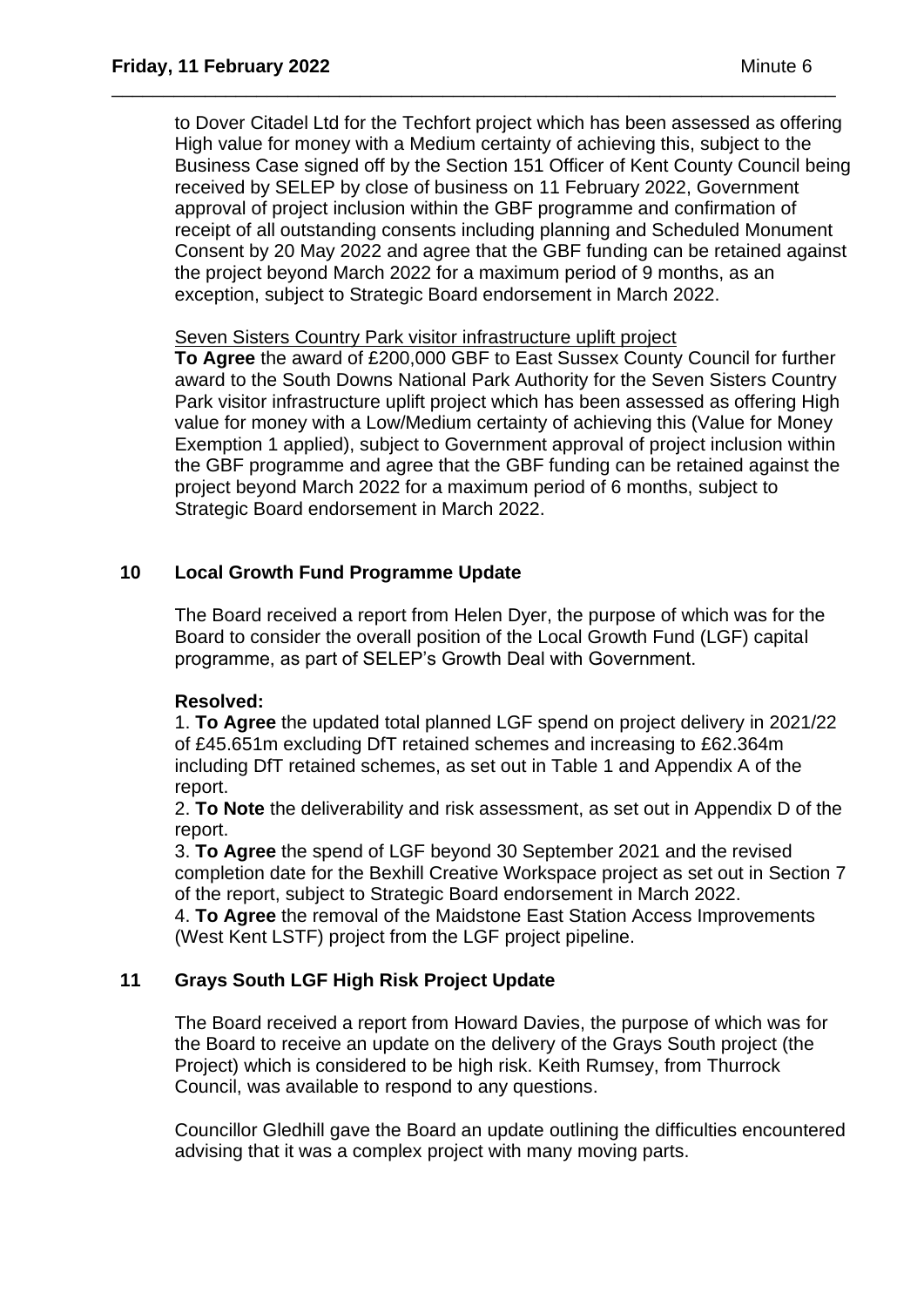to Dover Citadel Ltd for the Techfort project which has been assessed as offering High value for money with a Medium certainty of achieving this, subject to the Business Case signed off by the Section 151 Officer of Kent County Council being received by SELEP by close of business on 11 February 2022, Government approval of project inclusion within the GBF programme and confirmation of receipt of all outstanding consents including planning and Scheduled Monument Consent by 20 May 2022 and agree that the GBF funding can be retained against the project beyond March 2022 for a maximum period of 9 months, as an exception, subject to Strategic Board endorsement in March 2022.

\_\_\_\_\_\_\_\_\_\_\_\_\_\_\_\_\_\_\_\_\_\_\_\_\_\_\_\_\_\_\_\_\_\_\_\_\_\_\_\_\_\_\_\_\_\_\_\_\_\_\_\_\_\_\_\_\_\_\_\_\_\_\_\_\_\_\_\_\_\_

#### Seven Sisters Country Park visitor infrastructure uplift project

**To Agree** the award of £200,000 GBF to East Sussex County Council for further award to the South Downs National Park Authority for the Seven Sisters Country Park visitor infrastructure uplift project which has been assessed as offering High value for money with a Low/Medium certainty of achieving this (Value for Money Exemption 1 applied), subject to Government approval of project inclusion within the GBF programme and agree that the GBF funding can be retained against the project beyond March 2022 for a maximum period of 6 months, subject to Strategic Board endorsement in March 2022.

# **10 Local Growth Fund Programme Update**

The Board received a report from Helen Dyer, the purpose of which was for the Board to consider the overall position of the Local Growth Fund (LGF) capital programme, as part of SELEP's Growth Deal with Government.

### **Resolved:**

1. **To Agree** the updated total planned LGF spend on project delivery in 2021/22 of £45.651m excluding DfT retained schemes and increasing to £62.364m including DfT retained schemes, as set out in Table 1 and Appendix A of the report.

2. **To Note** the deliverability and risk assessment, as set out in Appendix D of the report.

3. **To Agree** the spend of LGF beyond 30 September 2021 and the revised completion date for the Bexhill Creative Workspace project as set out in Section 7 of the report, subject to Strategic Board endorsement in March 2022.

4. **To Agree** the removal of the Maidstone East Station Access Improvements (West Kent LSTF) project from the LGF project pipeline.

# **11 Grays South LGF High Risk Project Update**

The Board received a report from Howard Davies, the purpose of which was for the Board to receive an update on the delivery of the Grays South project (the Project) which is considered to be high risk. Keith Rumsey, from Thurrock Council, was available to respond to any questions.

Councillor Gledhill gave the Board an update outlining the difficulties encountered advising that it was a complex project with many moving parts.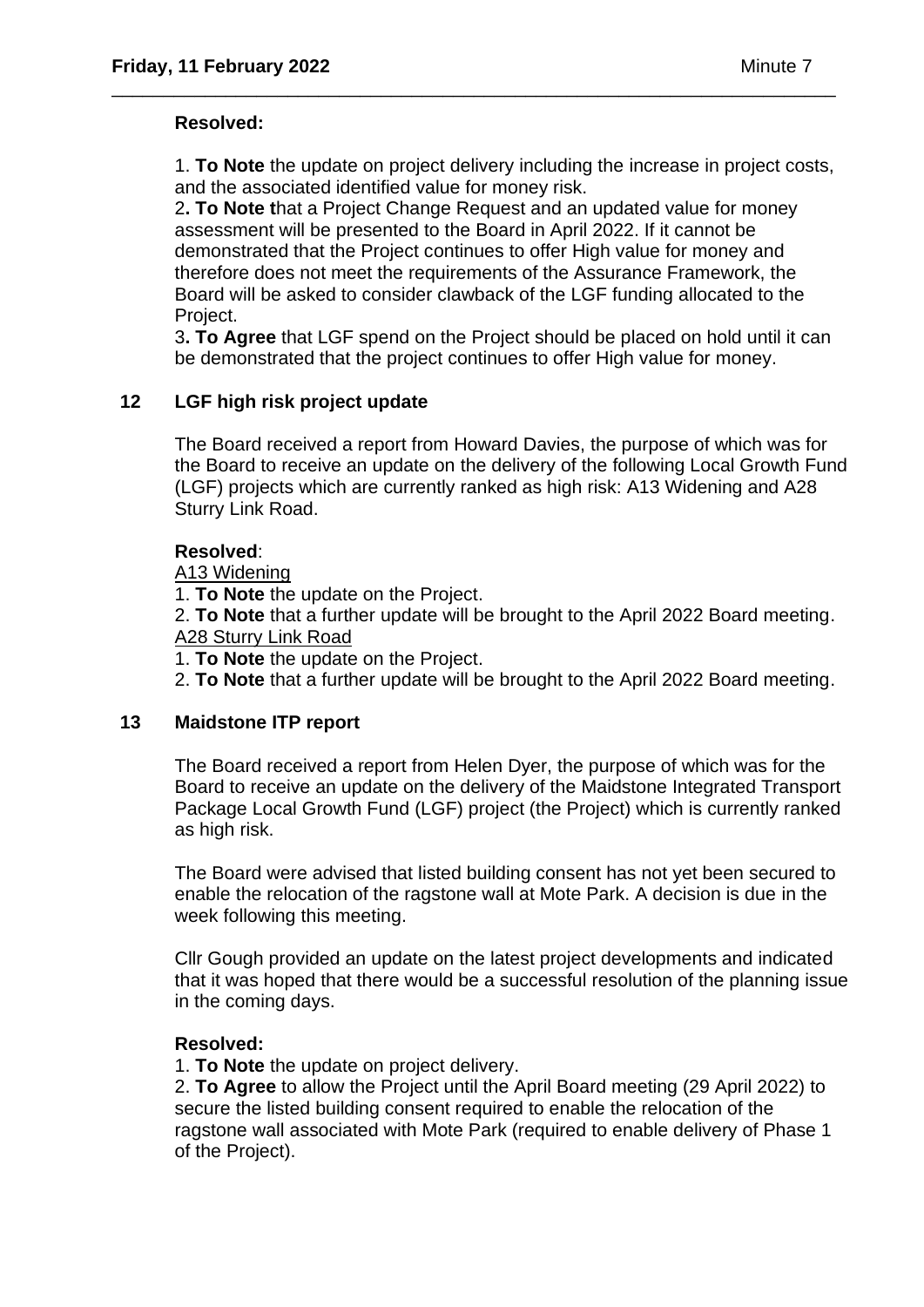# **Resolved:**

1. **To Note** the update on project delivery including the increase in project costs, and the associated identified value for money risk.

\_\_\_\_\_\_\_\_\_\_\_\_\_\_\_\_\_\_\_\_\_\_\_\_\_\_\_\_\_\_\_\_\_\_\_\_\_\_\_\_\_\_\_\_\_\_\_\_\_\_\_\_\_\_\_\_\_\_\_\_\_\_\_\_\_\_\_\_\_\_

2**. To Note t**hat a Project Change Request and an updated value for money assessment will be presented to the Board in April 2022. If it cannot be demonstrated that the Project continues to offer High value for money and therefore does not meet the requirements of the Assurance Framework, the Board will be asked to consider clawback of the LGF funding allocated to the Project.

3**. To Agree** that LGF spend on the Project should be placed on hold until it can be demonstrated that the project continues to offer High value for money.

# **12 LGF high risk project update**

The Board received a report from Howard Davies, the purpose of which was for the Board to receive an update on the delivery of the following Local Growth Fund (LGF) projects which are currently ranked as high risk: A13 Widening and A28 Sturry Link Road.

### **Resolved**:

# A13 Widening

1. **To Note** the update on the Project.

2. **To Note** that a further update will be brought to the April 2022 Board meeting. A28 Sturry Link Road

1. **To Note** the update on the Project.

2. **To Note** that a further update will be brought to the April 2022 Board meeting.

### **13 Maidstone ITP report**

The Board received a report from Helen Dyer, the purpose of which was for the Board to receive an update on the delivery of the Maidstone Integrated Transport Package Local Growth Fund (LGF) project (the Project) which is currently ranked as high risk.

The Board were advised that listed building consent has not yet been secured to enable the relocation of the ragstone wall at Mote Park. A decision is due in the week following this meeting.

Cllr Gough provided an update on the latest project developments and indicated that it was hoped that there would be a successful resolution of the planning issue in the coming days.

### **Resolved:**

1. **To Note** the update on project delivery.

2. **To Agree** to allow the Project until the April Board meeting (29 April 2022) to secure the listed building consent required to enable the relocation of the ragstone wall associated with Mote Park (required to enable delivery of Phase 1 of the Project).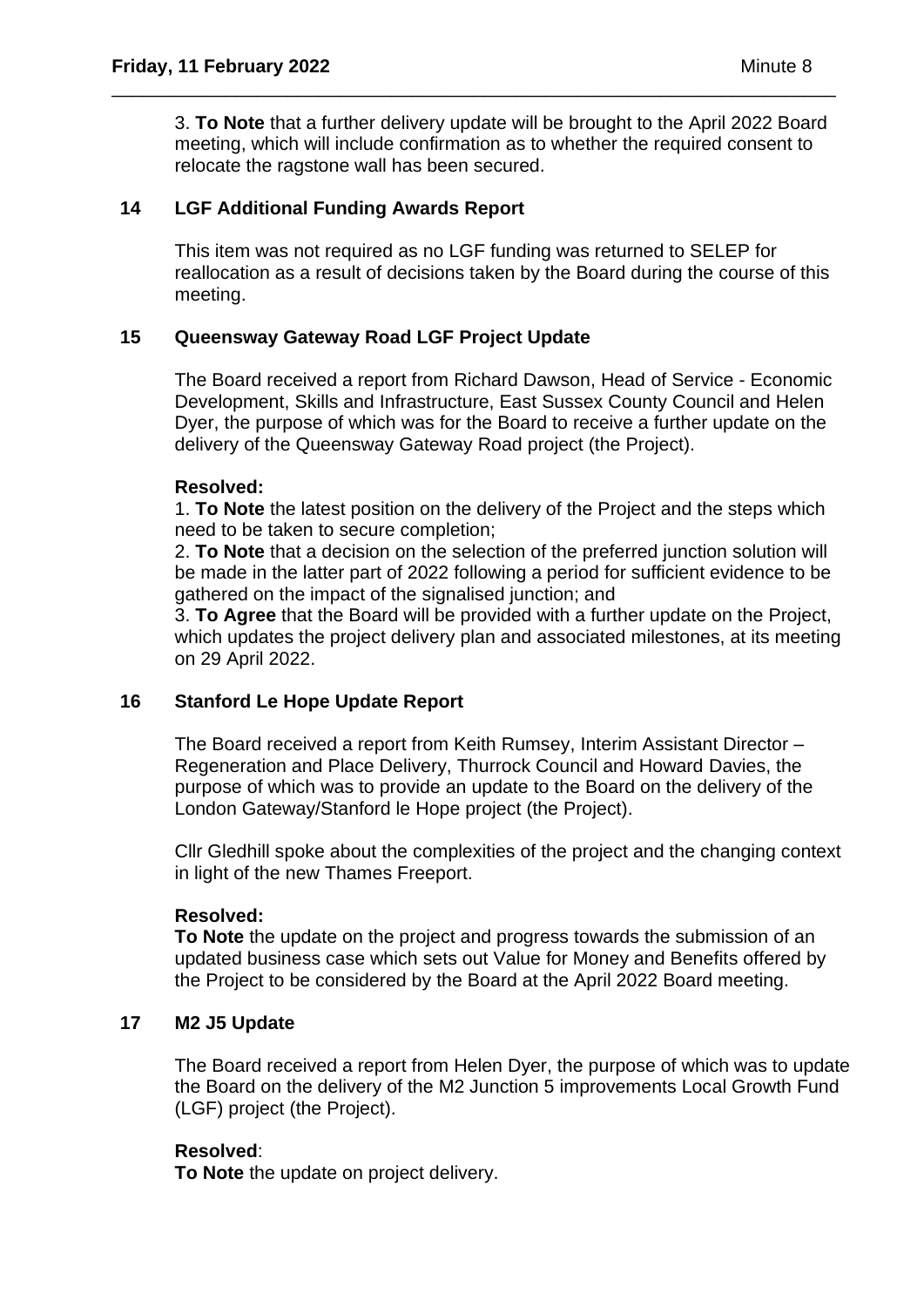3. **To Note** that a further delivery update will be brought to the April 2022 Board meeting, which will include confirmation as to whether the required consent to relocate the ragstone wall has been secured.

\_\_\_\_\_\_\_\_\_\_\_\_\_\_\_\_\_\_\_\_\_\_\_\_\_\_\_\_\_\_\_\_\_\_\_\_\_\_\_\_\_\_\_\_\_\_\_\_\_\_\_\_\_\_\_\_\_\_\_\_\_\_\_\_\_\_\_\_\_\_

### **14 LGF Additional Funding Awards Report**

This item was not required as no LGF funding was returned to SELEP for reallocation as a result of decisions taken by the Board during the course of this meeting.

# **15 Queensway Gateway Road LGF Project Update**

The Board received a report from Richard Dawson, Head of Service - Economic Development, Skills and Infrastructure, East Sussex County Council and Helen Dyer, the purpose of which was for the Board to receive a further update on the delivery of the Queensway Gateway Road project (the Project).

### **Resolved:**

1. **To Note** the latest position on the delivery of the Project and the steps which need to be taken to secure completion;

2. **To Note** that a decision on the selection of the preferred junction solution will be made in the latter part of 2022 following a period for sufficient evidence to be gathered on the impact of the signalised junction; and

3. **To Agree** that the Board will be provided with a further update on the Project, which updates the project delivery plan and associated milestones, at its meeting on 29 April 2022.

### **16 Stanford Le Hope Update Report**

The Board received a report from Keith Rumsey, Interim Assistant Director – Regeneration and Place Delivery, Thurrock Council and Howard Davies, the purpose of which was to provide an update to the Board on the delivery of the London Gateway/Stanford le Hope project (the Project).

Cllr Gledhill spoke about the complexities of the project and the changing context in light of the new Thames Freeport.

### **Resolved:**

**To Note** the update on the project and progress towards the submission of an updated business case which sets out Value for Money and Benefits offered by the Project to be considered by the Board at the April 2022 Board meeting.

### **17 M2 J5 Update**

The Board received a report from Helen Dyer, the purpose of which was to update the Board on the delivery of the M2 Junction 5 improvements Local Growth Fund (LGF) project (the Project).

### **Resolved**:

**To Note** the update on project delivery.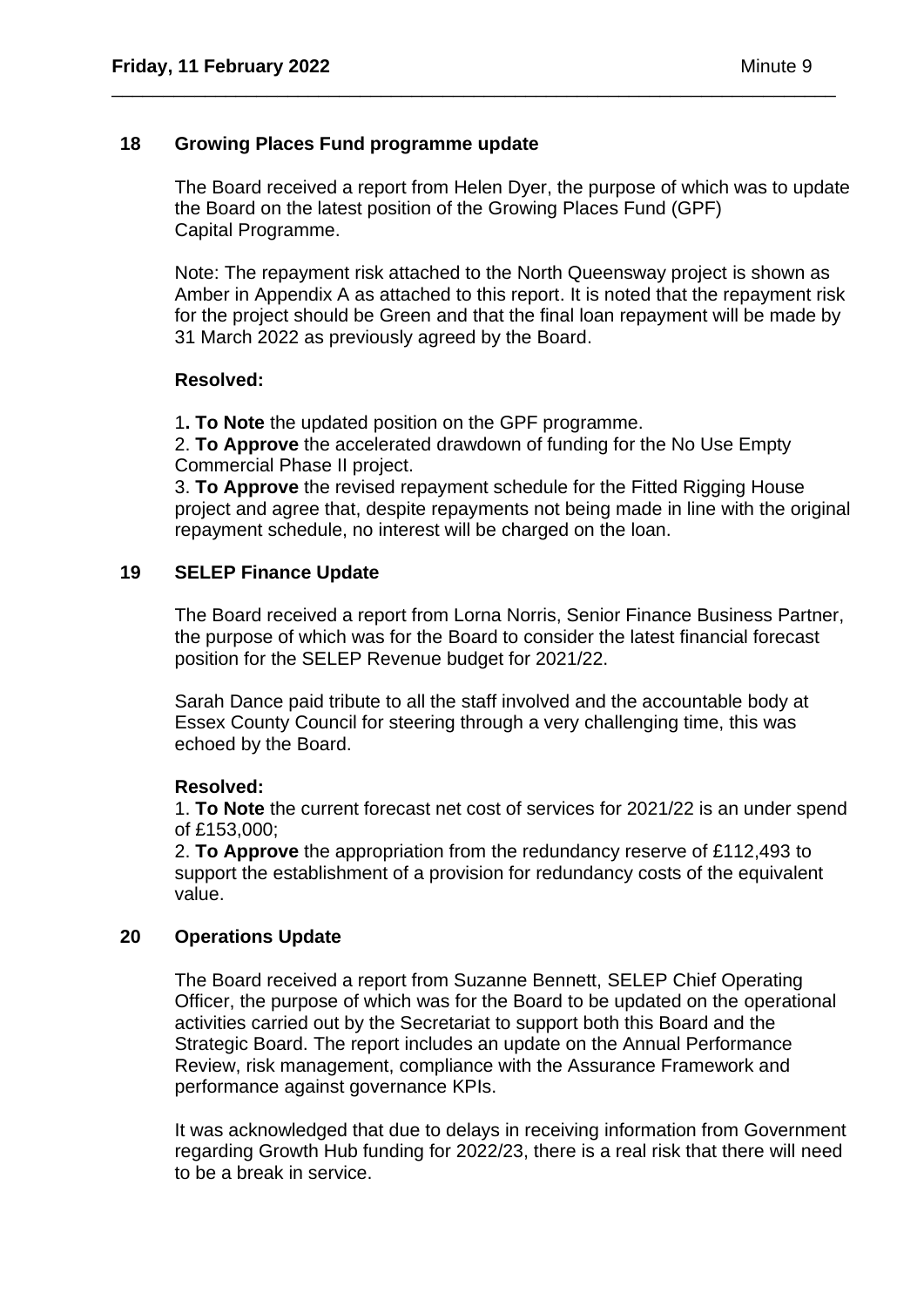#### **18 Growing Places Fund programme update**

The Board received a report from Helen Dyer, the purpose of which was to update the Board on the latest position of the Growing Places Fund (GPF) Capital Programme.

\_\_\_\_\_\_\_\_\_\_\_\_\_\_\_\_\_\_\_\_\_\_\_\_\_\_\_\_\_\_\_\_\_\_\_\_\_\_\_\_\_\_\_\_\_\_\_\_\_\_\_\_\_\_\_\_\_\_\_\_\_\_\_\_\_\_\_\_\_\_

Note: The repayment risk attached to the North Queensway project is shown as Amber in Appendix A as attached to this report. It is noted that the repayment risk for the project should be Green and that the final loan repayment will be made by 31 March 2022 as previously agreed by the Board.

#### **Resolved:**

1**. To Note** the updated position on the GPF programme.

2. **To Approve** the accelerated drawdown of funding for the No Use Empty Commercial Phase II project.

3. **To Approve** the revised repayment schedule for the Fitted Rigging House project and agree that, despite repayments not being made in line with the original repayment schedule, no interest will be charged on the loan.

#### **19 SELEP Finance Update**

The Board received a report from Lorna Norris, Senior Finance Business Partner, the purpose of which was for the Board to consider the latest financial forecast position for the SELEP Revenue budget for 2021/22.

Sarah Dance paid tribute to all the staff involved and the accountable body at Essex County Council for steering through a very challenging time, this was echoed by the Board.

### **Resolved:**

1. **To Note** the current forecast net cost of services for 2021/22 is an under spend of £153,000;

2. **To Approve** the appropriation from the redundancy reserve of £112,493 to support the establishment of a provision for redundancy costs of the equivalent value.

### **20 Operations Update**

The Board received a report from Suzanne Bennett, SELEP Chief Operating Officer, the purpose of which was for the Board to be updated on the operational activities carried out by the Secretariat to support both this Board and the Strategic Board. The report includes an update on the Annual Performance Review, risk management, compliance with the Assurance Framework and performance against governance KPIs.

It was acknowledged that due to delays in receiving information from Government regarding Growth Hub funding for 2022/23, there is a real risk that there will need to be a break in service.